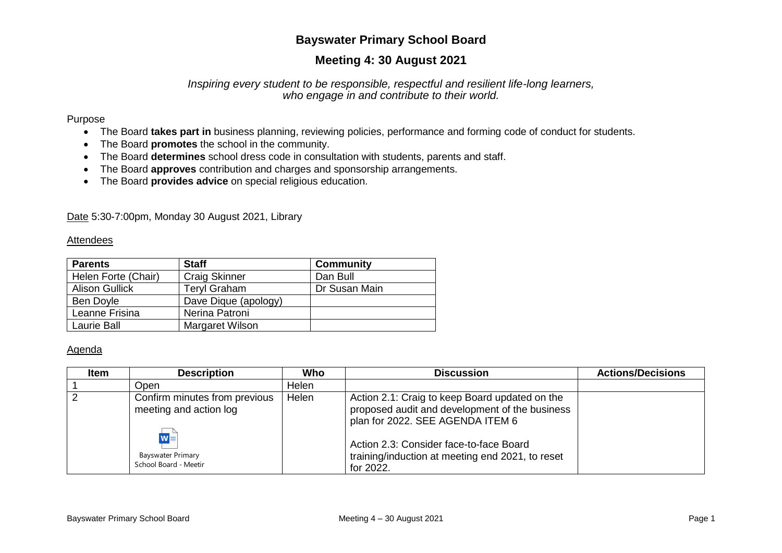# **Bayswater Primary School Board**

# **Meeting 4: 30 August 2021**

### *Inspiring every student to be responsible, respectful and resilient life-long learners, who engage in and contribute to their world.*

#### Purpose

- The Board **takes part in** business planning, reviewing policies, performance and forming code of conduct for students.
- The Board **promotes** the school in the community.
- The Board **determines** school dress code in consultation with students, parents and staff.
- The Board **approves** contribution and charges and sponsorship arrangements.
- The Board **provides advice** on special religious education.

Date 5:30-7:00pm, Monday 30 August 2021, Library

#### Attendees

| <b>Parents</b>        | <b>Staff</b>           | <b>Community</b> |  |
|-----------------------|------------------------|------------------|--|
| Helen Forte (Chair)   | <b>Craig Skinner</b>   | Dan Bull         |  |
| <b>Alison Gullick</b> | <b>Teryl Graham</b>    | Dr Susan Main    |  |
| Ben Doyle             | Dave Dique (apology)   |                  |  |
| Leanne Frisina        | Nerina Patroni         |                  |  |
| Laurie Ball           | <b>Margaret Wilson</b> |                  |  |

### Agenda

| <b>Item</b> | <b>Description</b>                                                                                                    | Who   | <b>Discussion</b>                                                                                                                                                                                                                                | <b>Actions/Decisions</b> |
|-------------|-----------------------------------------------------------------------------------------------------------------------|-------|--------------------------------------------------------------------------------------------------------------------------------------------------------------------------------------------------------------------------------------------------|--------------------------|
|             | Open                                                                                                                  | Helen |                                                                                                                                                                                                                                                  |                          |
|             | Confirm minutes from previous<br>meeting and action log<br>$W =$<br><b>Bayswater Primary</b><br>School Board - Meetir | Helen | Action 2.1: Craig to keep Board updated on the<br>proposed audit and development of the business<br>plan for 2022. SEE AGENDA ITEM 6<br>Action 2.3: Consider face-to-face Board<br>training/induction at meeting end 2021, to reset<br>for 2022. |                          |